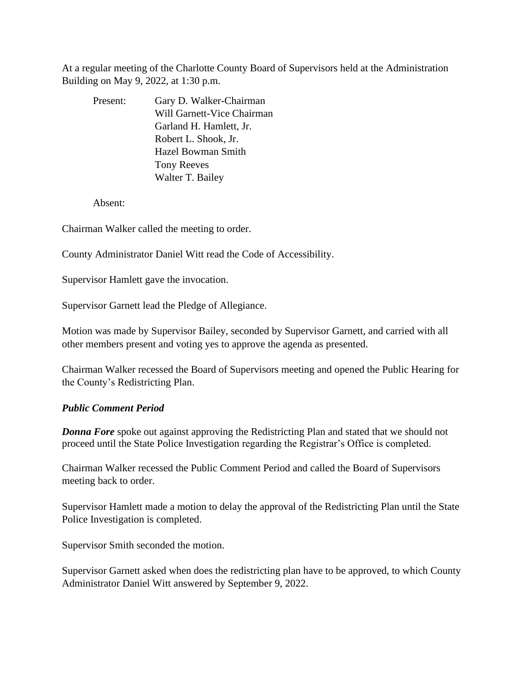At a regular meeting of the Charlotte County Board of Supervisors held at the Administration Building on May 9, 2022, at 1:30 p.m.

| Present: | Gary D. Walker-Chairman    |
|----------|----------------------------|
|          | Will Garnett-Vice Chairman |
|          | Garland H. Hamlett, Jr.    |
|          | Robert L. Shook, Jr.       |
|          | <b>Hazel Bowman Smith</b>  |
|          | <b>Tony Reeves</b>         |
|          | Walter T. Bailey           |

Absent:

Chairman Walker called the meeting to order.

County Administrator Daniel Witt read the Code of Accessibility.

Supervisor Hamlett gave the invocation.

Supervisor Garnett lead the Pledge of Allegiance.

Motion was made by Supervisor Bailey, seconded by Supervisor Garnett, and carried with all other members present and voting yes to approve the agenda as presented.

Chairman Walker recessed the Board of Supervisors meeting and opened the Public Hearing for the County's Redistricting Plan.

### *Public Comment Period*

*Donna Fore* spoke out against approving the Redistricting Plan and stated that we should not proceed until the State Police Investigation regarding the Registrar's Office is completed.

Chairman Walker recessed the Public Comment Period and called the Board of Supervisors meeting back to order.

Supervisor Hamlett made a motion to delay the approval of the Redistricting Plan until the State Police Investigation is completed.

Supervisor Smith seconded the motion.

Supervisor Garnett asked when does the redistricting plan have to be approved, to which County Administrator Daniel Witt answered by September 9, 2022.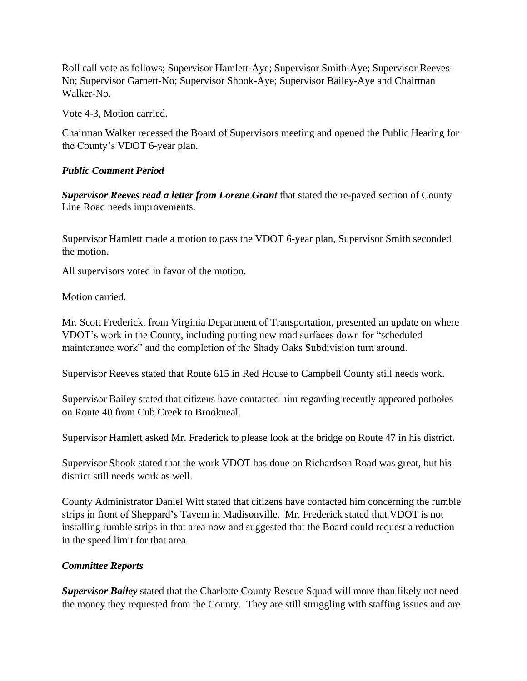Roll call vote as follows; Supervisor Hamlett-Aye; Supervisor Smith-Aye; Supervisor Reeves-No; Supervisor Garnett-No; Supervisor Shook-Aye; Supervisor Bailey-Aye and Chairman Walker-No.

Vote 4-3, Motion carried.

Chairman Walker recessed the Board of Supervisors meeting and opened the Public Hearing for the County's VDOT 6-year plan.

# *Public Comment Period*

*Supervisor Reeves read a letter from Lorene Grant* that stated the re-paved section of County Line Road needs improvements.

Supervisor Hamlett made a motion to pass the VDOT 6-year plan, Supervisor Smith seconded the motion.

All supervisors voted in favor of the motion.

Motion carried.

Mr. Scott Frederick, from Virginia Department of Transportation, presented an update on where VDOT's work in the County, including putting new road surfaces down for "scheduled maintenance work" and the completion of the Shady Oaks Subdivision turn around.

Supervisor Reeves stated that Route 615 in Red House to Campbell County still needs work.

Supervisor Bailey stated that citizens have contacted him regarding recently appeared potholes on Route 40 from Cub Creek to Brookneal.

Supervisor Hamlett asked Mr. Frederick to please look at the bridge on Route 47 in his district.

Supervisor Shook stated that the work VDOT has done on Richardson Road was great, but his district still needs work as well.

County Administrator Daniel Witt stated that citizens have contacted him concerning the rumble strips in front of Sheppard's Tavern in Madisonville. Mr. Frederick stated that VDOT is not installing rumble strips in that area now and suggested that the Board could request a reduction in the speed limit for that area.

# *Committee Reports*

*Supervisor Bailey* stated that the Charlotte County Rescue Squad will more than likely not need the money they requested from the County. They are still struggling with staffing issues and are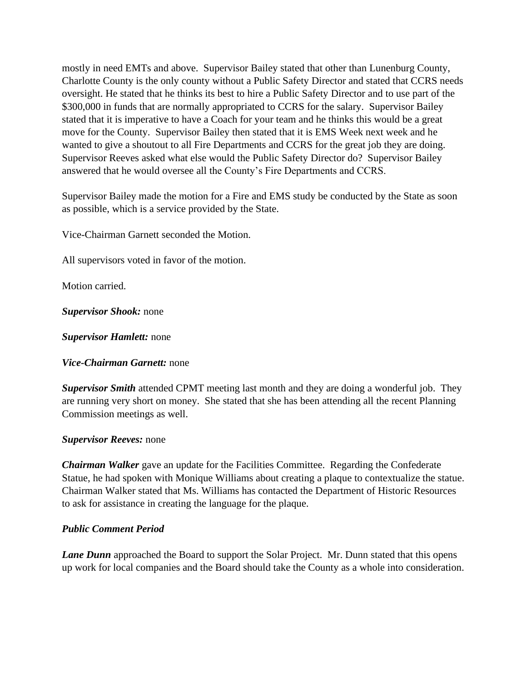mostly in need EMTs and above. Supervisor Bailey stated that other than Lunenburg County, Charlotte County is the only county without a Public Safety Director and stated that CCRS needs oversight. He stated that he thinks its best to hire a Public Safety Director and to use part of the \$300,000 in funds that are normally appropriated to CCRS for the salary. Supervisor Bailey stated that it is imperative to have a Coach for your team and he thinks this would be a great move for the County. Supervisor Bailey then stated that it is EMS Week next week and he wanted to give a shoutout to all Fire Departments and CCRS for the great job they are doing. Supervisor Reeves asked what else would the Public Safety Director do? Supervisor Bailey answered that he would oversee all the County's Fire Departments and CCRS.

Supervisor Bailey made the motion for a Fire and EMS study be conducted by the State as soon as possible, which is a service provided by the State.

Vice-Chairman Garnett seconded the Motion.

All supervisors voted in favor of the motion.

Motion carried.

*Supervisor Shook:* none

*Supervisor Hamlett:* none

*Vice-Chairman Garnett:* none

*Supervisor Smith* attended CPMT meeting last month and they are doing a wonderful job. They are running very short on money. She stated that she has been attending all the recent Planning Commission meetings as well.

### *Supervisor Reeves:* none

*Chairman Walker* gave an update for the Facilities Committee. Regarding the Confederate Statue, he had spoken with Monique Williams about creating a plaque to contextualize the statue. Chairman Walker stated that Ms. Williams has contacted the Department of Historic Resources to ask for assistance in creating the language for the plaque.

### *Public Comment Period*

*Lane Dunn* approached the Board to support the Solar Project. Mr. Dunn stated that this opens up work for local companies and the Board should take the County as a whole into consideration.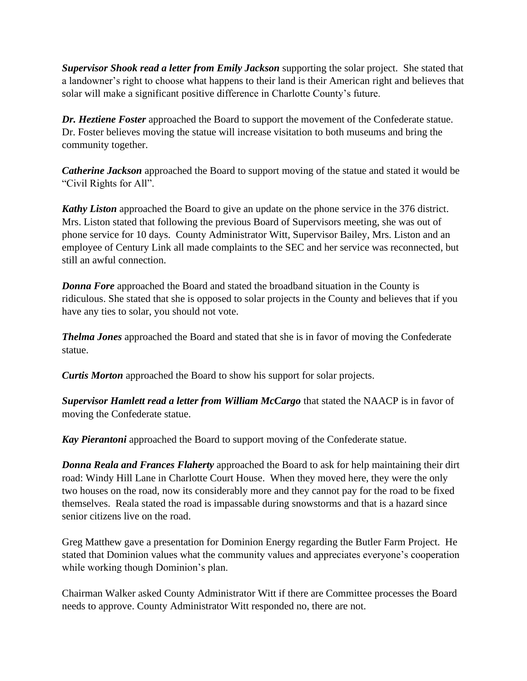*Supervisor Shook read a letter from Emily Jackson* supporting the solar project. She stated that a landowner's right to choose what happens to their land is their American right and believes that solar will make a significant positive difference in Charlotte County's future.

*Dr. Heztiene Foster* approached the Board to support the movement of the Confederate statue. Dr. Foster believes moving the statue will increase visitation to both museums and bring the community together.

*Catherine Jackson* approached the Board to support moving of the statue and stated it would be "Civil Rights for All".

*Kathy Liston* approached the Board to give an update on the phone service in the 376 district. Mrs. Liston stated that following the previous Board of Supervisors meeting, she was out of phone service for 10 days. County Administrator Witt, Supervisor Bailey, Mrs. Liston and an employee of Century Link all made complaints to the SEC and her service was reconnected, but still an awful connection.

*Donna Fore* approached the Board and stated the broadband situation in the County is ridiculous. She stated that she is opposed to solar projects in the County and believes that if you have any ties to solar, you should not vote.

*Thelma Jones* approached the Board and stated that she is in favor of moving the Confederate statue.

*Curtis Morton* approached the Board to show his support for solar projects.

*Supervisor Hamlett read a letter from William McCargo* that stated the NAACP is in favor of moving the Confederate statue.

*Kay Pierantoni* approached the Board to support moving of the Confederate statue.

*Donna Reala and Frances Flaherty* approached the Board to ask for help maintaining their dirt road: Windy Hill Lane in Charlotte Court House. When they moved here, they were the only two houses on the road, now its considerably more and they cannot pay for the road to be fixed themselves. Reala stated the road is impassable during snowstorms and that is a hazard since senior citizens live on the road.

Greg Matthew gave a presentation for Dominion Energy regarding the Butler Farm Project. He stated that Dominion values what the community values and appreciates everyone's cooperation while working though Dominion's plan.

Chairman Walker asked County Administrator Witt if there are Committee processes the Board needs to approve. County Administrator Witt responded no, there are not.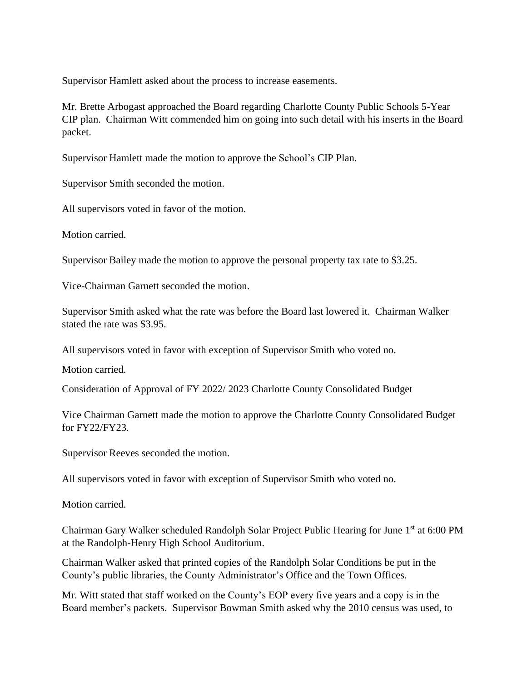Supervisor Hamlett asked about the process to increase easements.

Mr. Brette Arbogast approached the Board regarding Charlotte County Public Schools 5-Year CIP plan. Chairman Witt commended him on going into such detail with his inserts in the Board packet.

Supervisor Hamlett made the motion to approve the School's CIP Plan.

Supervisor Smith seconded the motion.

All supervisors voted in favor of the motion.

Motion carried.

Supervisor Bailey made the motion to approve the personal property tax rate to \$3.25.

Vice-Chairman Garnett seconded the motion.

Supervisor Smith asked what the rate was before the Board last lowered it. Chairman Walker stated the rate was \$3.95.

All supervisors voted in favor with exception of Supervisor Smith who voted no.

Motion carried.

Consideration of Approval of FY 2022/ 2023 Charlotte County Consolidated Budget

Vice Chairman Garnett made the motion to approve the Charlotte County Consolidated Budget for FY22/FY23.

Supervisor Reeves seconded the motion.

All supervisors voted in favor with exception of Supervisor Smith who voted no.

Motion carried.

Chairman Gary Walker scheduled Randolph Solar Project Public Hearing for June 1<sup>st</sup> at 6:00 PM at the Randolph-Henry High School Auditorium.

Chairman Walker asked that printed copies of the Randolph Solar Conditions be put in the County's public libraries, the County Administrator's Office and the Town Offices.

Mr. Witt stated that staff worked on the County's EOP every five years and a copy is in the Board member's packets. Supervisor Bowman Smith asked why the 2010 census was used, to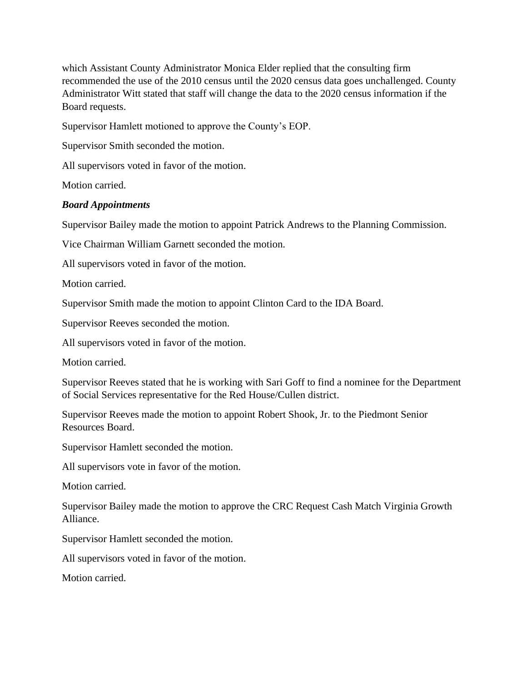which Assistant County Administrator Monica Elder replied that the consulting firm recommended the use of the 2010 census until the 2020 census data goes unchallenged. County Administrator Witt stated that staff will change the data to the 2020 census information if the Board requests.

Supervisor Hamlett motioned to approve the County's EOP.

Supervisor Smith seconded the motion.

All supervisors voted in favor of the motion.

Motion carried.

## *Board Appointments*

Supervisor Bailey made the motion to appoint Patrick Andrews to the Planning Commission.

Vice Chairman William Garnett seconded the motion.

All supervisors voted in favor of the motion.

Motion carried.

Supervisor Smith made the motion to appoint Clinton Card to the IDA Board.

Supervisor Reeves seconded the motion.

All supervisors voted in favor of the motion.

Motion carried.

Supervisor Reeves stated that he is working with Sari Goff to find a nominee for the Department of Social Services representative for the Red House/Cullen district.

Supervisor Reeves made the motion to appoint Robert Shook, Jr. to the Piedmont Senior Resources Board.

Supervisor Hamlett seconded the motion.

All supervisors vote in favor of the motion.

Motion carried.

Supervisor Bailey made the motion to approve the CRC Request Cash Match Virginia Growth Alliance.

Supervisor Hamlett seconded the motion.

All supervisors voted in favor of the motion.

Motion carried.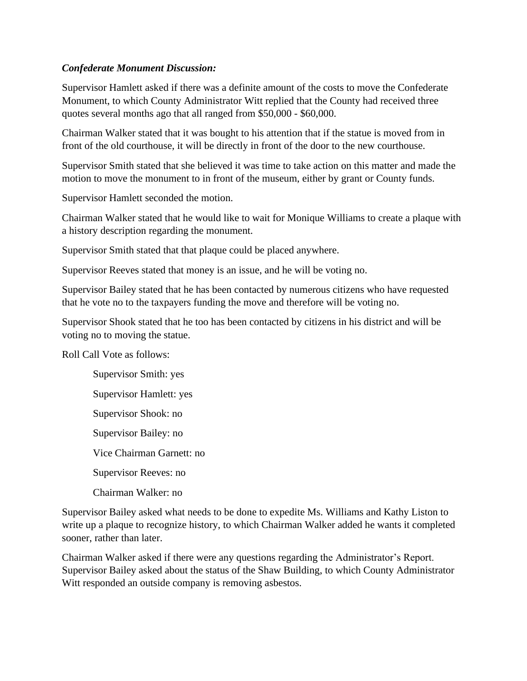# *Confederate Monument Discussion:*

Supervisor Hamlett asked if there was a definite amount of the costs to move the Confederate Monument, to which County Administrator Witt replied that the County had received three quotes several months ago that all ranged from \$50,000 - \$60,000.

Chairman Walker stated that it was bought to his attention that if the statue is moved from in front of the old courthouse, it will be directly in front of the door to the new courthouse.

Supervisor Smith stated that she believed it was time to take action on this matter and made the motion to move the monument to in front of the museum, either by grant or County funds.

Supervisor Hamlett seconded the motion.

Chairman Walker stated that he would like to wait for Monique Williams to create a plaque with a history description regarding the monument.

Supervisor Smith stated that that plaque could be placed anywhere.

Supervisor Reeves stated that money is an issue, and he will be voting no.

Supervisor Bailey stated that he has been contacted by numerous citizens who have requested that he vote no to the taxpayers funding the move and therefore will be voting no.

Supervisor Shook stated that he too has been contacted by citizens in his district and will be voting no to moving the statue.

Roll Call Vote as follows:

Supervisor Smith: yes Supervisor Hamlett: yes Supervisor Shook: no Supervisor Bailey: no Vice Chairman Garnett: no Supervisor Reeves: no Chairman Walker: no

Supervisor Bailey asked what needs to be done to expedite Ms. Williams and Kathy Liston to write up a plaque to recognize history, to which Chairman Walker added he wants it completed sooner, rather than later.

Chairman Walker asked if there were any questions regarding the Administrator's Report. Supervisor Bailey asked about the status of the Shaw Building, to which County Administrator Witt responded an outside company is removing asbestos.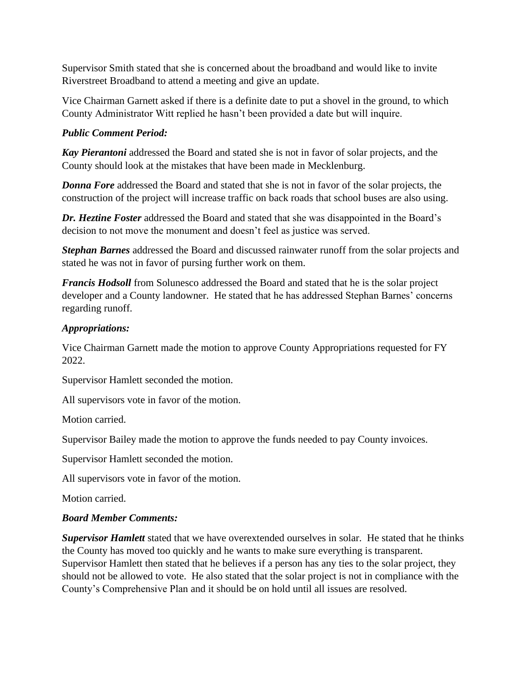Supervisor Smith stated that she is concerned about the broadband and would like to invite Riverstreet Broadband to attend a meeting and give an update.

Vice Chairman Garnett asked if there is a definite date to put a shovel in the ground, to which County Administrator Witt replied he hasn't been provided a date but will inquire.

# *Public Comment Period:*

*Kay Pierantoni* addressed the Board and stated she is not in favor of solar projects, and the County should look at the mistakes that have been made in Mecklenburg.

**Donna Fore** addressed the Board and stated that she is not in favor of the solar projects, the construction of the project will increase traffic on back roads that school buses are also using.

*Dr. Heztine Foster* addressed the Board and stated that she was disappointed in the Board's decision to not move the monument and doesn't feel as justice was served.

*Stephan Barnes* addressed the Board and discussed rainwater runoff from the solar projects and stated he was not in favor of pursing further work on them.

*Francis Hodsoll* from Solunesco addressed the Board and stated that he is the solar project developer and a County landowner. He stated that he has addressed Stephan Barnes' concerns regarding runoff.

# *Appropriations:*

Vice Chairman Garnett made the motion to approve County Appropriations requested for FY 2022.

Supervisor Hamlett seconded the motion.

All supervisors vote in favor of the motion.

Motion carried.

Supervisor Bailey made the motion to approve the funds needed to pay County invoices.

Supervisor Hamlett seconded the motion.

All supervisors vote in favor of the motion.

Motion carried.

# *Board Member Comments:*

*Supervisor Hamlett* stated that we have overextended ourselves in solar. He stated that he thinks the County has moved too quickly and he wants to make sure everything is transparent. Supervisor Hamlett then stated that he believes if a person has any ties to the solar project, they should not be allowed to vote. He also stated that the solar project is not in compliance with the County's Comprehensive Plan and it should be on hold until all issues are resolved.